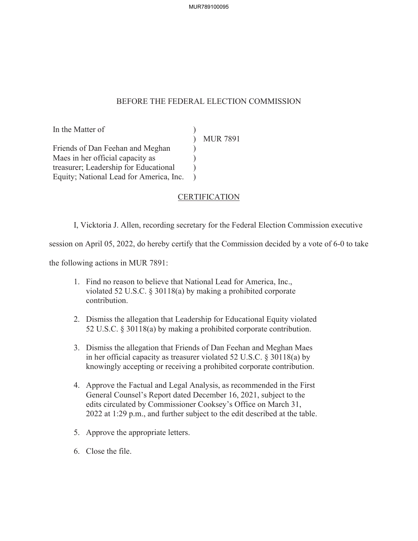## BEFORE THE FEDERAL ELECTION COMMISSION

 $\mathcal{L}$  $\mathcal{L}$  $\overline{)}$  $\mathcal{L}$  $\mathcal{L}$ 

In the Matter of

MUR 7891

Friends of Dan Feehan and Meghan Maes in her official capacity as treasurer; Leadership for Educational Equity; National Lead for America, Inc.

## CERTIFICATION

I, Vicktoria J. Allen, recording secretary for the Federal Election Commission executive

session on April 05, 2022, do hereby certify that the Commission decided by a vote of 6-0 to take

the following actions in MUR 7891:

- 1. Find no reason to believe that National Lead for America, Inc., violated 52 U.S.C. § 30118(a) by making a prohibited corporate contribution.
- 2. Dismiss the allegation that Leadership for Educational Equity violated 52 U.S.C. § 30118(a) by making a prohibited corporate contribution.
- 3. Dismiss the allegation that Friends of Dan Feehan and Meghan Maes in her official capacity as treasurer violated 52 U.S.C. § 30118(a) by knowingly accepting or receiving a prohibited corporate contribution.
- 4. Approve the Factual and Legal Analysis, as recommended in the First General Counsel's Report dated December 16, 2021, subject to the edits circulated by Commissioner Cooksey's Office on March 31, 2022 at 1:29 p.m., and further subject to the edit described at the table.
- 5. Approve the appropriate letters.
- 6. Close the file.